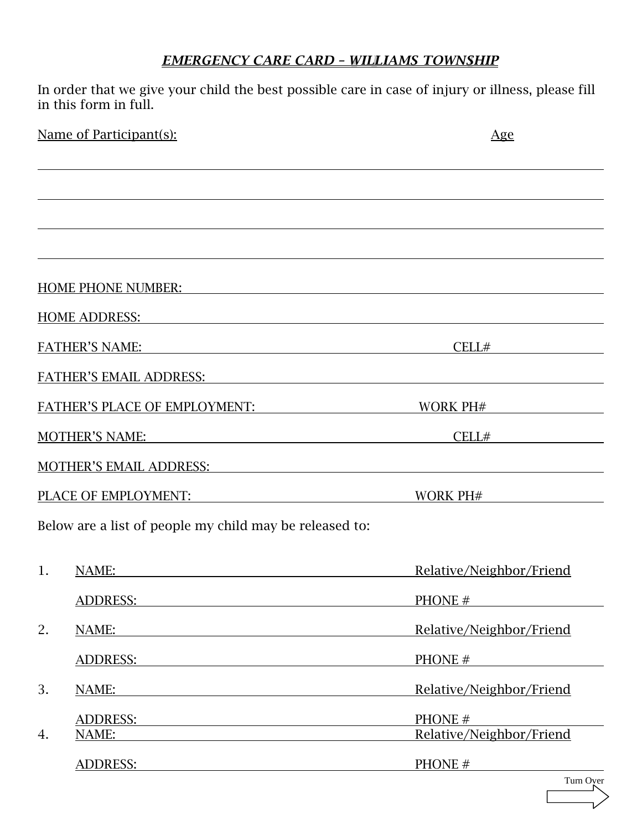## *EMERGENCY CARE CARD – WILLIAMS TOWNSHIP*

In order that we give your child the best possible care in case of injury or illness, please fill in this form in full.

| Name of Participant(s):                                                                                                                                                                                                        | $\overline{Age}$                                 |  |
|--------------------------------------------------------------------------------------------------------------------------------------------------------------------------------------------------------------------------------|--------------------------------------------------|--|
|                                                                                                                                                                                                                                |                                                  |  |
|                                                                                                                                                                                                                                |                                                  |  |
|                                                                                                                                                                                                                                |                                                  |  |
| HOME PHONE NUMBER:                                                                                                                                                                                                             |                                                  |  |
| HOME ADDRESS: The Second Second Second Second Second Second Second Second Second Second Second Second Second Second Second Second Second Second Second Second Second Second Second Second Second Second Second Second Second S |                                                  |  |
|                                                                                                                                                                                                                                | CELL#                                            |  |
| FATHER'S EMAIL ADDRESS: The Contract of the Contract of the Contract of the Contract of the Contract of the Contract of the Contract of the Contract of the Contract of the Contract of the Contract of the Contract of the Co |                                                  |  |
| FATHER'S PLACE OF EMPLOYMENT:                                                                                                                                                                                                  | WORK PH#                                         |  |
| <b>MOTHER'S NAME:</b>                                                                                                                                                                                                          | CELL#                                            |  |
| MOTHER'S EMAIL ADDRESS: NAMEL AND RESISTENT AND RESISTENCE OF A SERVICE OF A SERVICE OF A SERVICE OF A SERVICE OF A SERVICE OF A SERVICE OF A SERVICE OF A SERVICE OF A SERVICE OF A SERVICE OF A SERVICE OF A SERVICE OF A SE |                                                  |  |
| PLACE OF EMPLOYMENT:                                                                                                                                                                                                           | WORK PH#                                         |  |
| Below are a list of people my child may be released to:                                                                                                                                                                        |                                                  |  |
| 1.<br>NAME:                                                                                                                                                                                                                    | Relative/Neighbor/Friend                         |  |
| ADDRESS:                                                                                                                                                                                                                       | PHONE #                                          |  |
| 2.<br>NAME:                                                                                                                                                                                                                    | Relative/Neighbor/Friend                         |  |
| ADDRESS: ADDRESS:                                                                                                                                                                                                              | $PHONE \#$                                       |  |
| 3.<br>NAME:                                                                                                                                                                                                                    | Relative/Neighbor/Friend                         |  |
| ADDRESS:                                                                                                                                                                                                                       | PHONE #<br>Relative/Neighbor/Friend              |  |
| NAME:<br>4.<br><b>ADDRESS:</b>                                                                                                                                                                                                 | PHONE #<br><u> 1999 - Jan Barnett, politik e</u> |  |

| ver<br>urn O |
|--------------|
|              |
|              |